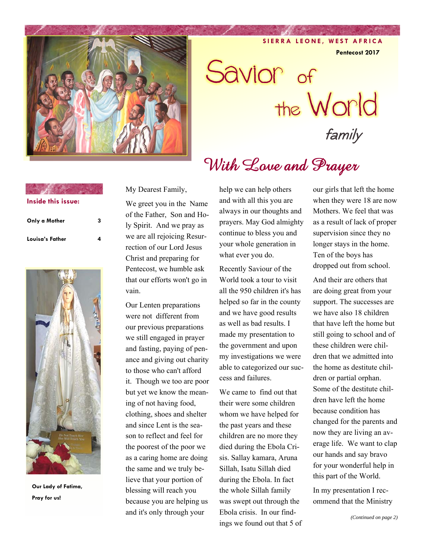

**SIERRA LEONE, WEST AFRICA** 

**Pentecost 2017** 

Savior of the World

With Love and Prayer

family

| Inside this issue: |  |
|--------------------|--|
| Only a Mother      |  |

**Contract Contract of the Contract of the Contract of the Contract of the Contract of the Contract of the Contract of the Contract of the Contract of the Contract of the Contract of the Contract of the Contract of the Cont** 

Louisa's Father



**Our Lady of Fatima, Pray for us!** 

My Dearest Family,

We greet you in the Name of the Father, Son and Holy Spirit. And we pray as we are all rejoicing Resurrection of our Lord Jesus Christ and preparing for Pentecost, we humble ask that our efforts won't go in vain.

Our Lenten preparations were not different from our previous preparations we still engaged in prayer and fasting, paying of penance and giving out charity to those who can't afford it. Though we too are poor but yet we know the meaning of not having food, clothing, shoes and shelter and since Lent is the season to reflect and feel for the poorest of the poor we as a caring home are doing the same and we truly believe that your portion of blessing will reach you because you are helping us and it's only through your

help we can help others and with all this you are always in our thoughts and prayers. May God almighty continue to bless you and your whole generation in what ever you do.

Recently Saviour of the World took a tour to visit all the 950 children it's has helped so far in the county and we have good results as well as bad results. I made my presentation to the government and upon my investigations we were able to categorized our success and failures.

We came to find out that their were some children whom we have helped for the past years and these children are no more they died during the Ebola Crisis. Sallay kamara, Aruna Sillah, Isatu Sillah died during the Ebola. In fact the whole Sillah family was swept out through the Ebola crisis. In our findings we found out that 5 of our girls that left the home when they were 18 are now Mothers. We feel that was as a result of lack of proper supervision since they no longer stays in the home. Ten of the boys has dropped out from school.

And their are others that are doing great from your support. The successes are we have also 18 children that have left the home but still going to school and of these children were children that we admitted into the home as destitute children or partial orphan. Some of the destitute children have left the home because condition has changed for the parents and now they are living an average life. We want to clap our hands and say bravo for your wonderful help in this part of the World.

In my presentation I recommend that the Ministry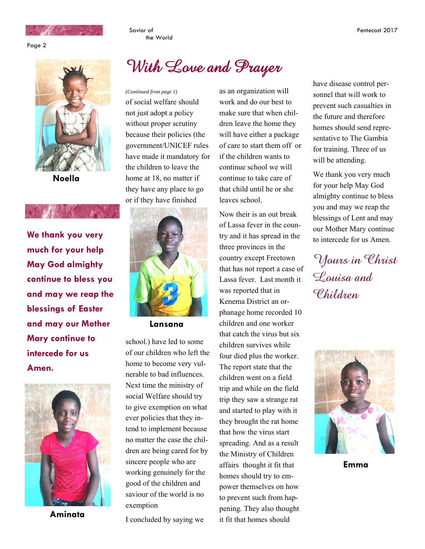

Page 2



**Noella** 

**We thank you very much for your help May God almighty continue to bless you and may we reap the blessings of Easter and may our Mother Mary continue to intercede for us Amen.** 



**Aminata** 

## With Love and Prayer

the World

Savior of

of social welfare should not just adopt a policy without proper scrutiny because their policies (the government/UNICEF rules have made it mandatory for the children to leave the home at 18, no matter if they have any place to go or if they have finished



 **Lansana** 

school.) have led to some of our children who left the home to become very vulnerable to bad influences. Next time the ministry of social Welfare should try to give exemption on what ever policies that they intend to implement because no matter the case the children are being cared for by sincere people who are working genuinely for the good of the children and saviour of the world is no exemption

I concluded by saying we

*(Continued from page 1)* as an organization will work and do our best to make sure that when children leave the home they will have either a package of care to start them off or if the children wants to continue school we will continue to take care of that child until he or she leaves school.

> Now their is an out break of Lassa fever in the country and it has spread in the three provinces in the country except Freetown that has not report a case of Lassa fever. Last month it was reported that in Kenema District an orphanage home recorded 10 children and one worker that catch the virus but six children survives while four died plus the worker. The report state that the children went on a field trip and while on the field trip they saw a strange rat and started to play with it they brought the rat home that how the virus start spreading. And as a result the Ministry of Children affairs thought it fit that homes should try to empower themselves on how to prevent such from happening. They also thought it fit that homes should

have disease control personnel that will work to prevent such casualties in the future and therefore homes should send representative to The Gambia for training. Three of us will be attending.

We thank you very much for your help May God almighty continue to bless you and may we reap the blessings of Lent and may our Mother Mary continue to intercede for us Amen.

Yours in Christ Louisa and Children



**Emma**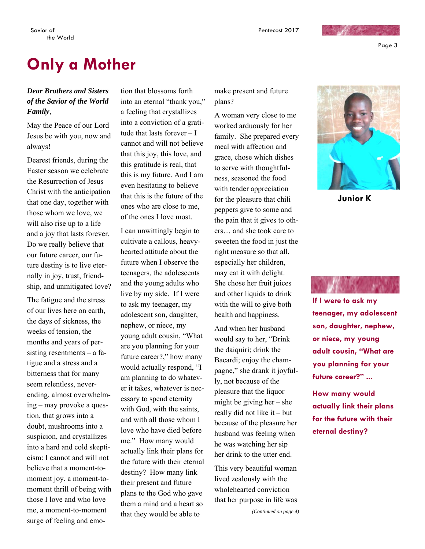Page 3

## **Only a Mother**

### *Dear Brothers and Sisters of the Savior of the World Family*,

May the Peace of our Lord Jesus be with you, now and always!

Dearest friends, during the Easter season we celebrate the Resurrection of Jesus Christ with the anticipation that one day, together with those whom we love, we will also rise up to a life and a joy that lasts forever. Do we really believe that our future career, our future destiny is to live eternally in joy, trust, friendship, and unmitigated love?

The fatigue and the stress of our lives here on earth, the days of sickness, the weeks of tension, the months and years of persisting resentments – a fatigue and a stress and a bitterness that for many seem relentless, neverending, almost overwhelming – may provoke a question, that grows into a doubt, mushrooms into a suspicion, and crystallizes into a hard and cold skepticism: I cannot and will not believe that a moment-tomoment joy, a moment-tomoment thrill of being with those I love and who love me, a moment-to-moment surge of feeling and emotion that blossoms forth into an eternal "thank you," a feeling that crystallizes into a conviction of a gratitude that lasts forever – I cannot and will not believe that this joy, this love, and this gratitude is real, that this is my future. And I am even hesitating to believe that this is the future of the ones who are close to me, of the ones I love most.

I can unwittingly begin to cultivate a callous, heavyhearted attitude about the future when I observe the teenagers, the adolescents and the young adults who live by my side. If I were to ask my teenager, my adolescent son, daughter, nephew, or niece, my young adult cousin, "What are you planning for your future career?," how many would actually respond, "I am planning to do whatever it takes, whatever is necessary to spend eternity with God, with the saints, and with all those whom I love who have died before me." How many would actually link their plans for the future with their eternal destiny? How many link their present and future plans to the God who gave them a mind and a heart so that they would be able to

make present and future plans?

A woman very close to me worked arduously for her family. She prepared every meal with affection and grace, chose which dishes to serve with thoughtfulness, seasoned the food with tender appreciation for the pleasure that chili peppers give to some and the pain that it gives to others… and she took care to sweeten the food in just the right measure so that all, especially her children, may eat it with delight. She chose her fruit juices and other liquids to drink with the will to give both health and happiness.

And when her husband would say to her, "Drink the daiquiri; drink the Bacardi; enjoy the champagne," she drank it joyfully, not because of the pleasure that the liquor might be giving her – she really did not like it – but because of the pleasure her husband was feeling when he was watching her sip her drink to the utter end.

This very beautiful woman lived zealously with the wholehearted conviction that her purpose in life was



**Junior K** 



**If I were to ask my teenager, my adolescent son, daughter, nephew, or niece, my young adult cousin, "What are you planning for your future career?" ...** 

**How many would actually link their plans for the future with their eternal destiny?**